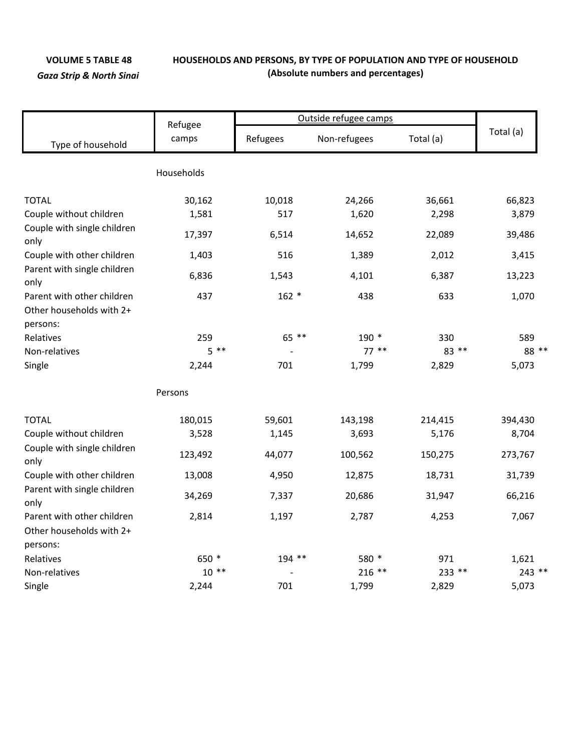## **VOLUME 5 TABLE 48 HOUSEHOLDS AND PERSONS, BY TYPE OF POPULATION AND TYPE OF HOUSEHOLD** *Gaza Strip & North Sinai* **(Absolute numbers and percentages)**

|                                                                    |                  | Outside refugee camps |                           |         |           |  |
|--------------------------------------------------------------------|------------------|-----------------------|---------------------------|---------|-----------|--|
| Type of household                                                  | Refugee<br>camps | Refugees              | Total (a)<br>Non-refugees |         | Total (a) |  |
|                                                                    | Households       |                       |                           |         |           |  |
| <b>TOTAL</b>                                                       | 30,162           | 10,018                | 24,266                    | 36,661  | 66,823    |  |
| Couple without children                                            | 1,581            | 517                   | 1,620                     | 2,298   | 3,879     |  |
| Couple with single children<br>only                                | 17,397           | 6,514                 | 14,652                    | 22,089  | 39,486    |  |
| Couple with other children                                         | 1,403            | 516                   | 1,389                     | 2,012   | 3,415     |  |
| Parent with single children<br>only                                | 6,836            | 1,543                 | 4,101                     | 6,387   | 13,223    |  |
| Parent with other children<br>Other households with 2+<br>persons: | 437              | $162 *$               | 438                       | 633     | 1,070     |  |
| Relatives                                                          | 259              | 65 **                 | 190 *                     | 330     | 589       |  |
| Non-relatives                                                      | $5 * *$          |                       | $77***$                   | 83 **   | 88 **     |  |
| Single                                                             | 2,244            | 701                   | 1,799                     | 2,829   | 5,073     |  |
|                                                                    | Persons          |                       |                           |         |           |  |
| <b>TOTAL</b>                                                       | 180,015          | 59,601                | 143,198                   | 214,415 | 394,430   |  |
| Couple without children                                            | 3,528            | 1,145                 | 3,693                     | 5,176   | 8,704     |  |
| Couple with single children<br>only                                | 123,492          | 44,077                | 100,562                   | 150,275 | 273,767   |  |
| Couple with other children                                         | 13,008           | 4,950                 | 12,875                    | 18,731  | 31,739    |  |
| Parent with single children<br>only                                | 34,269           | 7,337                 | 20,686                    | 31,947  | 66,216    |  |
| Parent with other children                                         | 2,814            | 1,197                 | 2,787                     | 4,253   | 7,067     |  |
| Other households with 2+<br>persons:                               |                  |                       |                           |         |           |  |
| Relatives                                                          | 650 *            | $194$ **              | 580 *                     | 971     | 1,621     |  |
| Non-relatives                                                      | $10**$           |                       | $216$ **                  | 233 **  | $243$ **  |  |
| Single                                                             | 2,244            | 701                   | 1,799                     | 2,829   | 5,073     |  |